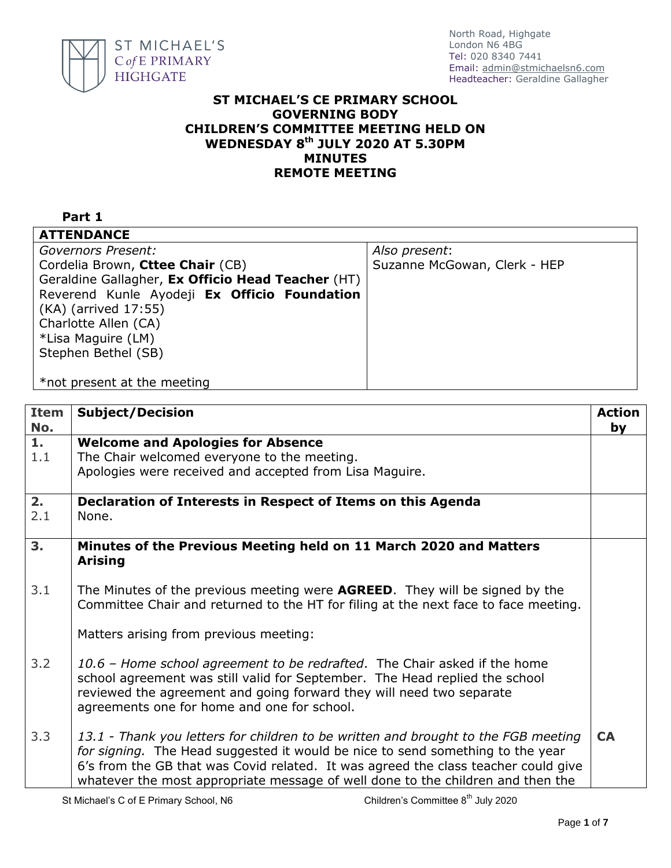

North Road, Highgate London N6 4BG Tel: 020 8340 7441 Email: [admin@stmichaelsn6.com](mailto:admin@stmichaelsn6.com) Headteacher: Geraldine Gallagher

## **ST MICHAEL'S CE PRIMARY SCHOOL GOVERNING BODY CHILDREN'S COMMITTEE MEETING HELD ON WEDNESDAY 8 th JULY 2020 AT 5.30PM MINUTES REMOTE MEETING**

## **Part 1**

| <b>ATTENDANCE</b>                                 |                              |
|---------------------------------------------------|------------------------------|
| Governors Present:                                | Also present:                |
| Cordelia Brown, Cttee Chair (CB)                  | Suzanne McGowan, Clerk - HEP |
| Geraldine Gallagher, Ex Officio Head Teacher (HT) |                              |
| Reverend Kunle Ayodeji Ex Officio Foundation      |                              |
| (KA) (arrived 17:55)                              |                              |
| Charlotte Allen (CA)                              |                              |
| *Lisa Maguire (LM)                                |                              |
| Stephen Bethel (SB)                               |                              |
|                                                   |                              |
| *not present at the meeting                       |                              |

| <b>Item</b><br>No. | <b>Subject/Decision</b>                                                                                                                                                                                                                                                                                                                       | Action<br>by |
|--------------------|-----------------------------------------------------------------------------------------------------------------------------------------------------------------------------------------------------------------------------------------------------------------------------------------------------------------------------------------------|--------------|
| 1.                 | <b>Welcome and Apologies for Absence</b>                                                                                                                                                                                                                                                                                                      |              |
| 1.1                | The Chair welcomed everyone to the meeting.                                                                                                                                                                                                                                                                                                   |              |
|                    | Apologies were received and accepted from Lisa Maguire.                                                                                                                                                                                                                                                                                       |              |
| 2.                 | Declaration of Interests in Respect of Items on this Agenda                                                                                                                                                                                                                                                                                   |              |
| 2.1                | None.                                                                                                                                                                                                                                                                                                                                         |              |
| 3.                 | Minutes of the Previous Meeting held on 11 March 2020 and Matters<br><b>Arising</b>                                                                                                                                                                                                                                                           |              |
| 3.1                | The Minutes of the previous meeting were <b>AGREED</b> . They will be signed by the<br>Committee Chair and returned to the HT for filing at the next face to face meeting.                                                                                                                                                                    |              |
|                    | Matters arising from previous meeting:                                                                                                                                                                                                                                                                                                        |              |
| 3.2                | 10.6 - Home school agreement to be redrafted. The Chair asked if the home<br>school agreement was still valid for September. The Head replied the school<br>reviewed the agreement and going forward they will need two separate<br>agreements one for home and one for school.                                                               |              |
| 3.3                | 13.1 - Thank you letters for children to be written and brought to the FGB meeting<br>for signing. The Head suggested it would be nice to send something to the year<br>6's from the GB that was Covid related. It was agreed the class teacher could give<br>whatever the most appropriate message of well done to the children and then the |              |
|                    | Children's Committee 8 <sup>th</sup> July 2020<br>St Michael's C of E Primary School, N6                                                                                                                                                                                                                                                      |              |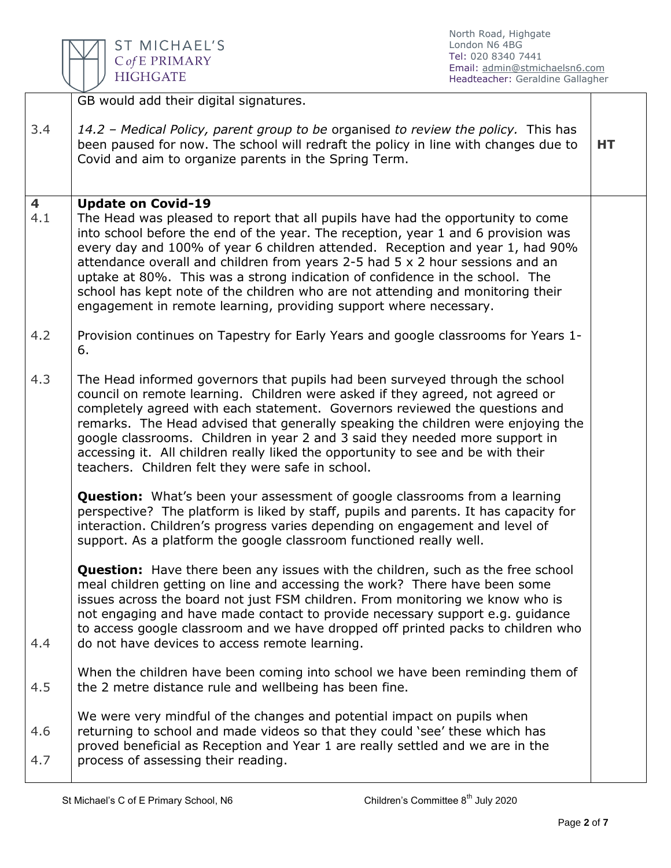ST MICHAEL'S  $\mathsf{C}\mathit{of}\,\mathsf{E}\mathrel{\mathsf{PRIMARY}}$ **HIGHGATE** 

North Road, Highgate London N6 4BG Tel: 020 8340 7441 Email: [admin@stmichaelsn6.com](mailto:admin@stmichaelsn6.com) Headteacher: Geraldine Gallagher

|                                | GB would add their digital signatures.                                                                                                                                                                                                                                                                                                                                                                                                                                                                                                                                                                      |    |
|--------------------------------|-------------------------------------------------------------------------------------------------------------------------------------------------------------------------------------------------------------------------------------------------------------------------------------------------------------------------------------------------------------------------------------------------------------------------------------------------------------------------------------------------------------------------------------------------------------------------------------------------------------|----|
| 3.4                            | 14.2 - Medical Policy, parent group to be organised to review the policy. This has<br>been paused for now. The school will redraft the policy in line with changes due to<br>Covid and aim to organize parents in the Spring Term.                                                                                                                                                                                                                                                                                                                                                                          | HТ |
| $\overline{\mathbf{4}}$<br>4.1 | <b>Update on Covid-19</b><br>The Head was pleased to report that all pupils have had the opportunity to come<br>into school before the end of the year. The reception, year 1 and 6 provision was<br>every day and 100% of year 6 children attended. Reception and year 1, had 90%<br>attendance overall and children from years 2-5 had 5 x 2 hour sessions and an<br>uptake at 80%. This was a strong indication of confidence in the school. The<br>school has kept note of the children who are not attending and monitoring their<br>engagement in remote learning, providing support where necessary. |    |
| 4.2                            | Provision continues on Tapestry for Early Years and google classrooms for Years 1-<br>6.                                                                                                                                                                                                                                                                                                                                                                                                                                                                                                                    |    |
| 4.3                            | The Head informed governors that pupils had been surveyed through the school<br>council on remote learning. Children were asked if they agreed, not agreed or<br>completely agreed with each statement. Governors reviewed the questions and<br>remarks. The Head advised that generally speaking the children were enjoying the<br>google classrooms. Children in year 2 and 3 said they needed more support in<br>accessing it. All children really liked the opportunity to see and be with their<br>teachers. Children felt they were safe in school.                                                   |    |
|                                | <b>Question:</b> What's been your assessment of google classrooms from a learning<br>perspective? The platform is liked by staff, pupils and parents. It has capacity for<br>interaction. Children's progress varies depending on engagement and level of<br>support. As a platform the google classroom functioned really well.                                                                                                                                                                                                                                                                            |    |
| 4.4                            | <b>Question:</b> Have there been any issues with the children, such as the free school<br>meal children getting on line and accessing the work? There have been some<br>issues across the board not just FSM children. From monitoring we know who is<br>not engaging and have made contact to provide necessary support e.g. guidance<br>to access google classroom and we have dropped off printed packs to children who<br>do not have devices to access remote learning.                                                                                                                                |    |
| 4.5                            | When the children have been coming into school we have been reminding them of<br>the 2 metre distance rule and wellbeing has been fine.                                                                                                                                                                                                                                                                                                                                                                                                                                                                     |    |
| 4.6<br>4.7                     | We were very mindful of the changes and potential impact on pupils when<br>returning to school and made videos so that they could 'see' these which has<br>proved beneficial as Reception and Year 1 are really settled and we are in the<br>process of assessing their reading.                                                                                                                                                                                                                                                                                                                            |    |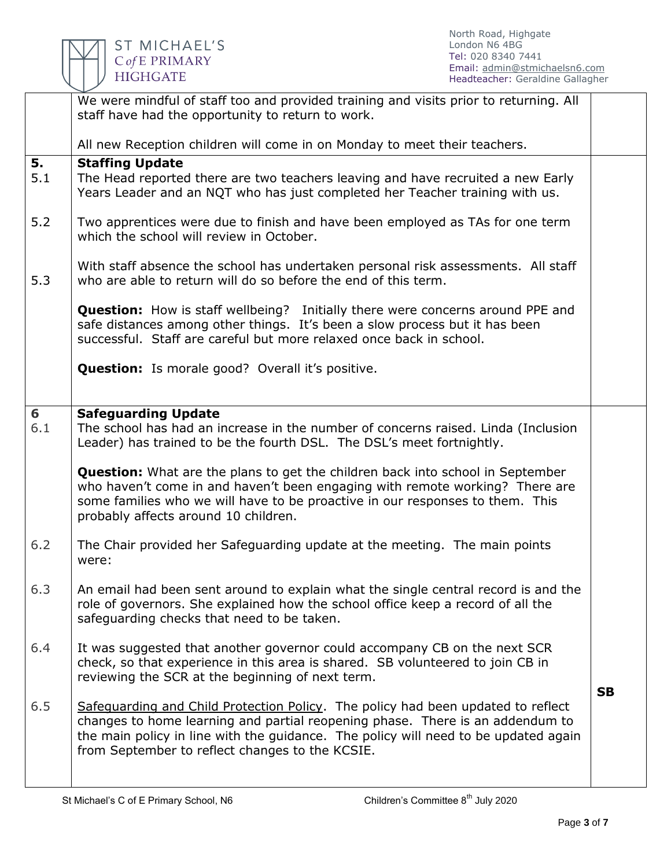

|           | We were mindful of staff too and provided training and visits prior to returning. All<br>staff have had the opportunity to return to work.                                                                                                                                                                  |           |  |
|-----------|-------------------------------------------------------------------------------------------------------------------------------------------------------------------------------------------------------------------------------------------------------------------------------------------------------------|-----------|--|
|           | All new Reception children will come in on Monday to meet their teachers.                                                                                                                                                                                                                                   |           |  |
| 5.<br>5.1 | <b>Staffing Update</b><br>The Head reported there are two teachers leaving and have recruited a new Early<br>Years Leader and an NQT who has just completed her Teacher training with us.                                                                                                                   |           |  |
| 5.2       | Two apprentices were due to finish and have been employed as TAs for one term<br>which the school will review in October.                                                                                                                                                                                   |           |  |
| 5.3       | With staff absence the school has undertaken personal risk assessments. All staff<br>who are able to return will do so before the end of this term.                                                                                                                                                         |           |  |
|           | <b>Question:</b> How is staff wellbeing? Initially there were concerns around PPE and<br>safe distances among other things. It's been a slow process but it has been<br>successful. Staff are careful but more relaxed once back in school.                                                                 |           |  |
|           | <b>Question:</b> Is morale good? Overall it's positive.                                                                                                                                                                                                                                                     |           |  |
| 6<br>6.1  | <b>Safeguarding Update</b><br>The school has had an increase in the number of concerns raised. Linda (Inclusion<br>Leader) has trained to be the fourth DSL. The DSL's meet fortnightly.                                                                                                                    |           |  |
|           | <b>Question:</b> What are the plans to get the children back into school in September<br>who haven't come in and haven't been engaging with remote working? There are<br>some families who we will have to be proactive in our responses to them. This<br>probably affects around 10 children.              |           |  |
| 6.2       | The Chair provided her Safeguarding update at the meeting. The main points<br>were:                                                                                                                                                                                                                         |           |  |
| 6.3       | An email had been sent around to explain what the single central record is and the<br>role of governors. She explained how the school office keep a record of all the<br>safeguarding checks that need to be taken.                                                                                         |           |  |
| 6.4       | It was suggested that another governor could accompany CB on the next SCR<br>check, so that experience in this area is shared. SB volunteered to join CB in<br>reviewing the SCR at the beginning of next term.                                                                                             | <b>SB</b> |  |
| 6.5       | Safeguarding and Child Protection Policy. The policy had been updated to reflect<br>changes to home learning and partial reopening phase. There is an addendum to<br>the main policy in line with the guidance. The policy will need to be updated again<br>from September to reflect changes to the KCSIE. |           |  |
|           |                                                                                                                                                                                                                                                                                                             |           |  |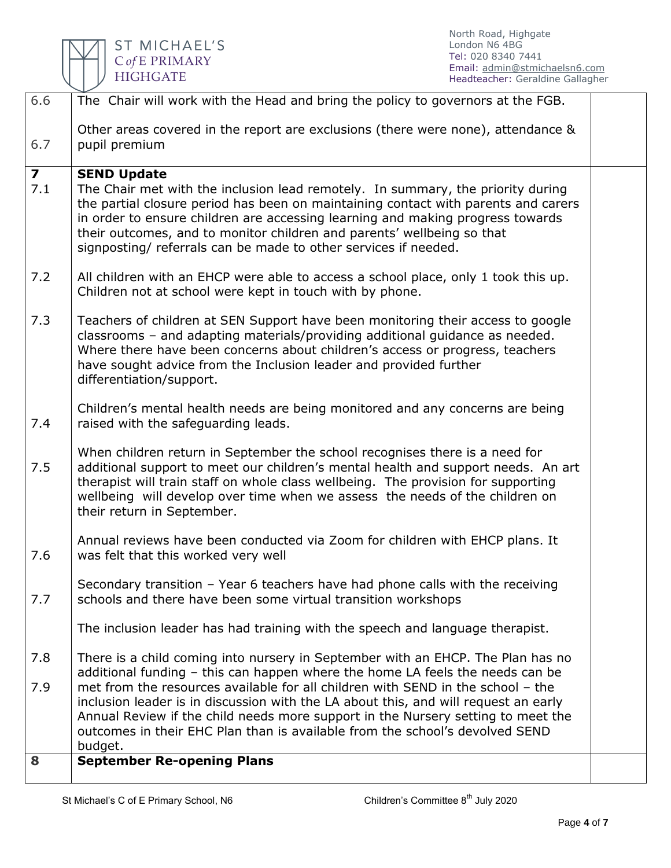

| 6.6                     | The Chair will work with the Head and bring the policy to governors at the FGB.                                                                                                                                                                                                                                                                                                                      |  |
|-------------------------|------------------------------------------------------------------------------------------------------------------------------------------------------------------------------------------------------------------------------------------------------------------------------------------------------------------------------------------------------------------------------------------------------|--|
| 6.7                     | Other areas covered in the report are exclusions (there were none), attendance &<br>pupil premium                                                                                                                                                                                                                                                                                                    |  |
| $\overline{\mathbf{z}}$ | <b>SEND Update</b>                                                                                                                                                                                                                                                                                                                                                                                   |  |
| 7.1                     | The Chair met with the inclusion lead remotely. In summary, the priority during<br>the partial closure period has been on maintaining contact with parents and carers<br>in order to ensure children are accessing learning and making progress towards<br>their outcomes, and to monitor children and parents' wellbeing so that<br>signposting/ referrals can be made to other services if needed. |  |
| 7.2                     | All children with an EHCP were able to access a school place, only 1 took this up.<br>Children not at school were kept in touch with by phone.                                                                                                                                                                                                                                                       |  |
| 7.3                     | Teachers of children at SEN Support have been monitoring their access to google<br>classrooms - and adapting materials/providing additional guidance as needed.<br>Where there have been concerns about children's access or progress, teachers<br>have sought advice from the Inclusion leader and provided further<br>differentiation/support.                                                     |  |
| 7.4                     | Children's mental health needs are being monitored and any concerns are being<br>raised with the safeguarding leads.                                                                                                                                                                                                                                                                                 |  |
| 7.5                     | When children return in September the school recognises there is a need for<br>additional support to meet our children's mental health and support needs. An art<br>therapist will train staff on whole class wellbeing. The provision for supporting<br>wellbeing will develop over time when we assess the needs of the children on<br>their return in September.                                  |  |
| 7.6                     | Annual reviews have been conducted via Zoom for children with EHCP plans. It<br>was felt that this worked very well                                                                                                                                                                                                                                                                                  |  |
| 7.7                     | Secondary transition - Year 6 teachers have had phone calls with the receiving<br>schools and there have been some virtual transition workshops                                                                                                                                                                                                                                                      |  |
|                         | The inclusion leader has had training with the speech and language therapist.                                                                                                                                                                                                                                                                                                                        |  |
| 7.8                     | There is a child coming into nursery in September with an EHCP. The Plan has no<br>additional funding - this can happen where the home LA feels the needs can be                                                                                                                                                                                                                                     |  |
| 7.9                     | met from the resources available for all children with SEND in the school - the<br>inclusion leader is in discussion with the LA about this, and will request an early<br>Annual Review if the child needs more support in the Nursery setting to meet the<br>outcomes in their EHC Plan than is available from the school's devolved SEND<br>budget.                                                |  |
| 8                       | <b>September Re-opening Plans</b>                                                                                                                                                                                                                                                                                                                                                                    |  |
|                         |                                                                                                                                                                                                                                                                                                                                                                                                      |  |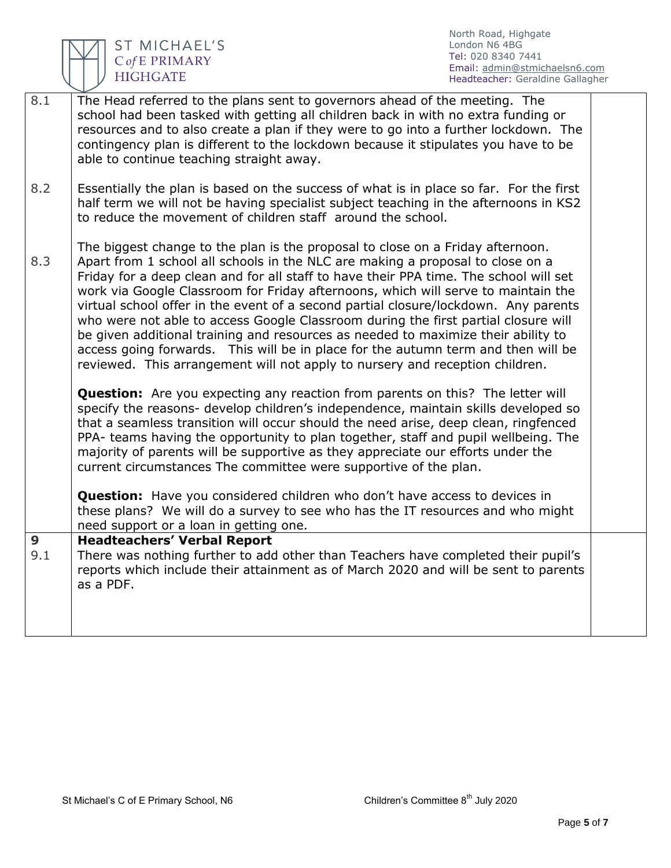

ST MICHAEL'S<br>CofE PRIMARY<br>HIGHGATE

North Road, Highgate London N6 4BG Tel: 020 8340 7441 Email: [admin@stmichaelsn6.com](mailto:admin@stmichaelsn6.com) Headteacher: Geraldine Gallagher

| 8.1      | The Head referred to the plans sent to governors ahead of the meeting. The<br>school had been tasked with getting all children back in with no extra funding or<br>resources and to also create a plan if they were to go into a further lockdown. The<br>contingency plan is different to the lockdown because it stipulates you have to be<br>able to continue teaching straight away.                                                                                                                                                                                                                                                                                                                                                                                                                                                                                       |  |
|----------|--------------------------------------------------------------------------------------------------------------------------------------------------------------------------------------------------------------------------------------------------------------------------------------------------------------------------------------------------------------------------------------------------------------------------------------------------------------------------------------------------------------------------------------------------------------------------------------------------------------------------------------------------------------------------------------------------------------------------------------------------------------------------------------------------------------------------------------------------------------------------------|--|
| 8.2      | Essentially the plan is based on the success of what is in place so far. For the first<br>half term we will not be having specialist subject teaching in the afternoons in KS2<br>to reduce the movement of children staff around the school.                                                                                                                                                                                                                                                                                                                                                                                                                                                                                                                                                                                                                                  |  |
| 8.3      | The biggest change to the plan is the proposal to close on a Friday afternoon.<br>Apart from 1 school all schools in the NLC are making a proposal to close on a<br>Friday for a deep clean and for all staff to have their PPA time. The school will set<br>work via Google Classroom for Friday afternoons, which will serve to maintain the<br>virtual school offer in the event of a second partial closure/lockdown. Any parents<br>who were not able to access Google Classroom during the first partial closure will<br>be given additional training and resources as needed to maximize their ability to<br>access going forwards. This will be in place for the autumn term and then will be<br>reviewed. This arrangement will not apply to nursery and reception children.<br><b>Question:</b> Are you expecting any reaction from parents on this? The letter will |  |
|          | specify the reasons- develop children's independence, maintain skills developed so<br>that a seamless transition will occur should the need arise, deep clean, ringfenced<br>PPA- teams having the opportunity to plan together, staff and pupil wellbeing. The<br>majority of parents will be supportive as they appreciate our efforts under the<br>current circumstances The committee were supportive of the plan.                                                                                                                                                                                                                                                                                                                                                                                                                                                         |  |
|          | <b>Question:</b> Have you considered children who don't have access to devices in<br>these plans? We will do a survey to see who has the IT resources and who might<br>need support or a loan in getting one.                                                                                                                                                                                                                                                                                                                                                                                                                                                                                                                                                                                                                                                                  |  |
| 9<br>9.1 | <b>Headteachers' Verbal Report</b><br>There was nothing further to add other than Teachers have completed their pupil's<br>reports which include their attainment as of March 2020 and will be sent to parents<br>as a PDF.                                                                                                                                                                                                                                                                                                                                                                                                                                                                                                                                                                                                                                                    |  |
|          |                                                                                                                                                                                                                                                                                                                                                                                                                                                                                                                                                                                                                                                                                                                                                                                                                                                                                |  |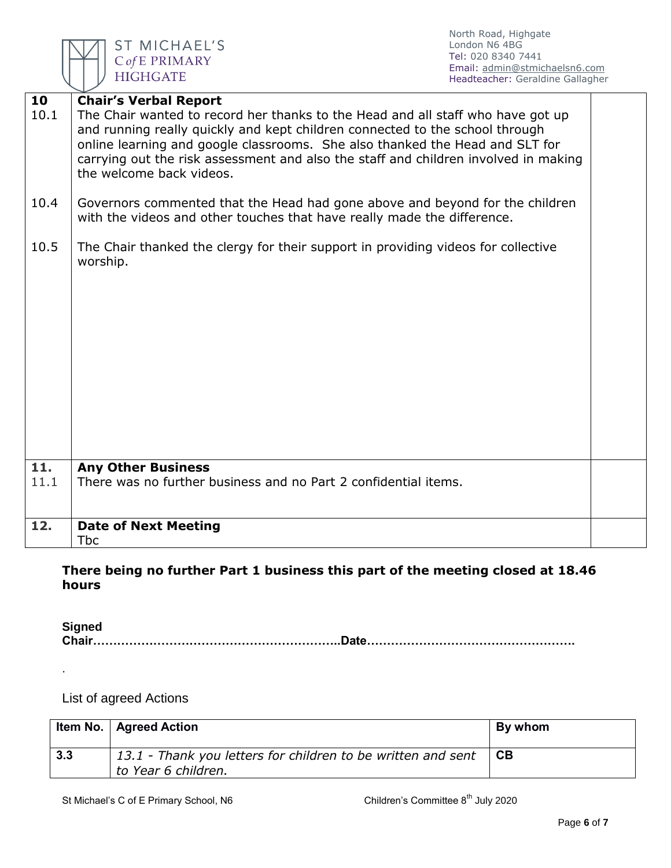

ST MICHAEL'S C of E PRIMARY **HIGHGATE** 

North Road, Highgate London N6 4BG Tel: 020 8340 7441 Email: [admin@stmichaelsn6.com](mailto:admin@stmichaelsn6.com) Headteacher: Geraldine Gallagher

| 10<br>10.1 | <b>Chair's Verbal Report</b><br>The Chair wanted to record her thanks to the Head and all staff who have got up<br>and running really quickly and kept children connected to the school through<br>online learning and google classrooms. She also thanked the Head and SLT for<br>carrying out the risk assessment and also the staff and children involved in making<br>the welcome back videos. |  |
|------------|----------------------------------------------------------------------------------------------------------------------------------------------------------------------------------------------------------------------------------------------------------------------------------------------------------------------------------------------------------------------------------------------------|--|
| 10.4       | Governors commented that the Head had gone above and beyond for the children<br>with the videos and other touches that have really made the difference.                                                                                                                                                                                                                                            |  |
| 10.5       | The Chair thanked the clergy for their support in providing videos for collective<br>worship.                                                                                                                                                                                                                                                                                                      |  |
| 11.        | <b>Any Other Business</b>                                                                                                                                                                                                                                                                                                                                                                          |  |
| 11.1       | There was no further business and no Part 2 confidential items.                                                                                                                                                                                                                                                                                                                                    |  |
| 12.        | <b>Date of Next Meeting</b><br><b>Tbc</b>                                                                                                                                                                                                                                                                                                                                                          |  |

## **There being no further Part 1 business this part of the meeting closed at 18.46 hours**

**Signed Chair……………………………………………………..Date…………………………………………….**

List of agreed Actions

.

|     | Item No.   Agreed Action                                                            | By whom |
|-----|-------------------------------------------------------------------------------------|---------|
| 3.3 | 13.1 - Thank you letters for children to be written and sent<br>to Year 6 children. | СB      |